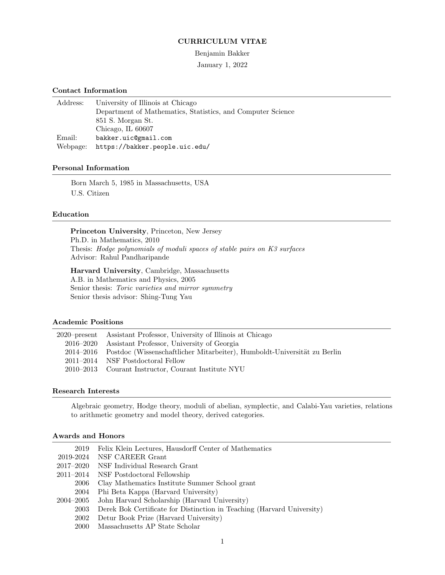### CURRICULUM VITAE

#### Benjamin Bakker

January 1, 2022

### Contact Information

| Address: | University of Illinois at Chicago                           |
|----------|-------------------------------------------------------------|
|          | Department of Mathematics, Statistics, and Computer Science |
|          | 851 S. Morgan St.                                           |
|          | Chicago, IL 60607                                           |
| Email:   | bakker.uic@gmail.com                                        |
| Webpage: | https://bakker.people.uic.edu/                              |

### Personal Information

Born March 5, 1985 in Massachusetts, USA U.S. Citizen

#### Education

Princeton University, Princeton, New Jersey

Ph.D. in Mathematics, 2010 Thesis: Hodge polynomials of moduli spaces of stable pairs on K3 surfaces Advisor: Rahul Pandharipande

Harvard University, Cambridge, Massachusetts A.B. in Mathematics and Physics, 2005 Senior thesis: Toric varieties and mirror symmetry Senior thesis advisor: Shing-Tung Yau

#### Academic Positions

| 2020–present Assistant Professor, University of Illinois at Chicago                |
|------------------------------------------------------------------------------------|
| 2016–2020 Assistant Professor, University of Georgia                               |
| 2014–2016 Postdoc (Wissenschaftlicher Mitarbeiter), Humboldt-Universität zu Berlin |
| 2011–2014 NSF Postdoctoral Fellow                                                  |
| 2010–2013 Courant Instructor, Courant Institute NYU                                |
|                                                                                    |

### Research Interests

Algebraic geometry, Hodge theory, moduli of abelian, symplectic, and Calabi-Yau varieties, relations to arithmetic geometry and model theory, derived categories.

### Awards and Honors

| 2019      | Felix Klein Lectures, Hausdorff Center of Mathematics                  |
|-----------|------------------------------------------------------------------------|
| 2019-2024 | NSF CAREER Grant                                                       |
| 2017–2020 | NSF Individual Research Grant                                          |
|           | 2011–2014 NSF Postdoctoral Fellowship                                  |
| 2006      | Clay Mathematics Institute Summer School grant                         |
| 2004      | Phi Beta Kappa (Harvard University)                                    |
|           | 2004–2005 John Harvard Scholarship (Harvard University)                |
| 2003      | Derek Bok Certificate for Distinction in Teaching (Harvard University) |
| 2002      | Detur Book Prize (Harvard University)                                  |
| 2000      | Massachusetts AP State Scholar                                         |

1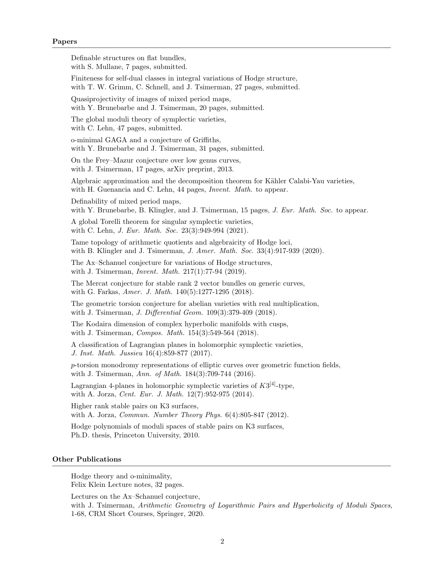Definable structures on flat bundles, with S. Mullane, 7 pages, submitted. Finiteness for self-dual classes in integral variations of Hodge structure, with T. W. Grimm, C. Schnell, and J. Tsimerman, 27 pages, submitted. Quasiprojectivity of images of mixed period maps, with Y. Brunebarbe and J. Tsimerman, 20 pages, submitted. The global moduli theory of symplectic varieties, with C. Lehn, 47 pages, submitted. o-minimal GAGA and a conjecture of Griffiths, with Y. Brunebarbe and J. Tsimerman, 31 pages, submitted. On the Frey–Mazur conjecture over low genus curves, with J. Tsimerman, 17 pages, arXiv preprint, 2013. Algebraic approximation and the decomposition theorem for Kähler Calabi-Yau varieties, with H. Guenancia and C. Lehn, 44 pages, *Invent. Math.* to appear. Definability of mixed period maps, with Y. Brunebarbe, B. Klingler, and J. Tsimerman, 15 pages, J. Eur. Math. Soc. to appear. A global Torelli theorem for singular symplectic varieties, with C. Lehn, *J. Eur. Math. Soc.* 23(3):949-994 (2021). Tame topology of arithmetic quotients and algebraicity of Hodge loci, with B. Klingler and J. Tsimerman, J. Amer. Math. Soc.  $33(4):917-939$  (2020). The Ax–Schanuel conjecture for variations of Hodge structures, with J. Tsimerman, *Invent. Math.* 217(1):77-94 (2019). The Mercat conjecture for stable rank 2 vector bundles on generic curves, with G. Farkas, Amer. J. Math. 140(5):1277-1295 (2018). The geometric torsion conjecture for abelian varieties with real multiplication, with J. Tsimerman, *J. Differential Geom.* 109(3):379-409 (2018). The Kodaira dimension of complex hyperbolic manifolds with cusps, with J. Tsimerman, *Compos. Math.* 154(3):549-564 (2018). A classification of Lagrangian planes in holomorphic symplectic varieties, J. Inst. Math. Jussieu 16(4):859-877 (2017). p-torsion monodromy representations of elliptic curves over geometric function fields, with J. Tsimerman, Ann. of Math. 184(3):709-744 (2016). Lagrangian 4-planes in holomorphic symplectic varieties of  $K3^{[4]}$ -type, with A. Jorza, Cent. Eur. J. Math. 12(7):952-975 (2014). Higher rank stable pairs on K3 surfaces, with A. Jorza, Commun. Number Theory Phys. 6(4):805-847 (2012). Hodge polynomials of moduli spaces of stable pairs on K3 surfaces, Ph.D. thesis, Princeton University, 2010. Other Publications Hodge theory and o-minimality, Felix Klein Lecture notes, 32 pages. Lectures on the Ax–Schanuel conjecture, with J. Tsimerman, Arithmetic Geometry of Logarithmic Pairs and Hyperbolicity of Moduli Spaces, 1-68, CRM Short Courses, Springer, 2020.

2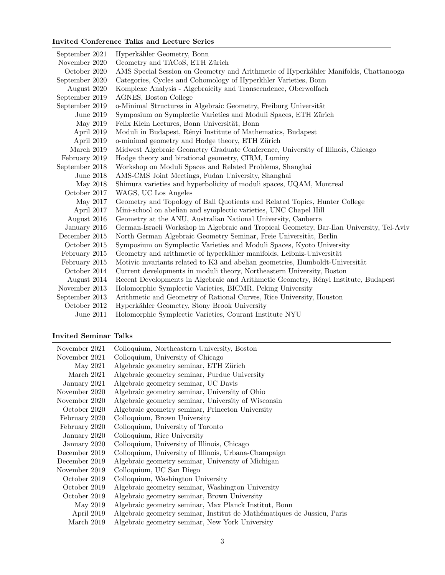## Invited Conference Talks and Lecture Series

| September 2021 | Hyperkähler Geometry, Bonn                                                                |
|----------------|-------------------------------------------------------------------------------------------|
| November 2020  | Geometry and TACoS, ETH Zürich                                                            |
| October 2020   | AMS Special Session on Geometry and Arithmetic of Hyperkähler Manifolds, Chattanooga      |
| September 2020 | Categories, Cycles and Cohomology of Hyperkhler Varieties, Bonn                           |
| August 2020    | Komplexe Analysis - Algebraicity and Transcendence, Oberwolfach                           |
| September 2019 | AGNES, Boston College                                                                     |
| September 2019 | o-Minimal Structures in Algebraic Geometry, Freiburg Universität                          |
| June 2019      | Symposium on Symplectic Varieties and Moduli Spaces, ETH Zürich                           |
| May 2019       | Felix Klein Lectures, Bonn Universität, Bonn                                              |
| April 2019     | Moduli in Budapest, Rényi Institute of Mathematics, Budapest                              |
| April 2019     | o-minimal geometry and Hodge theory, ETH Zürich                                           |
| March 2019     | Midwest Algebraic Geometry Graduate Conference, University of Illinois, Chicago           |
| February 2019  | Hodge theory and birational geometry, CIRM, Luminy                                        |
| September 2018 | Workshop on Moduli Spaces and Related Problems, Shanghai                                  |
| June 2018      | AMS-CMS Joint Meetings, Fudan University, Shanghai                                        |
| May 2018       | Shimura varieties and hyperbolicity of moduli spaces, UQAM, Montreal                      |
| October 2017   | WAGS, UC Los Angeles                                                                      |
| May 2017       | Geometry and Topology of Ball Quotients and Related Topics, Hunter College                |
| April 2017     | Mini-school on abelian and symplectic varieties, UNC Chapel Hill                          |
| August 2016    | Geometry at the ANU, Australian National University, Canberra                             |
| January 2016   | German-Israeli Workshop in Algebraic and Tropical Geometry, Bar-Ilan University, Tel-Aviv |
| December 2015  | North German Algebraic Geometry Seminar, Freie Universität, Berlin                        |
| October 2015   | Symposium on Symplectic Varieties and Moduli Spaces, Kyoto University                     |
| February 2015  | Geometry and arithmetic of hyperkähler manifolds, Leibniz-Universität                     |
| February 2015  | Motivic invariants related to K3 and abelian geometries, Humboldt-Universität             |
| October 2014   | Current developments in moduli theory, Northeastern University, Boston                    |
| August 2014    | Recent Developments in Algebraic and Arithmetic Geometry, Rényi Institute, Budapest       |
| November 2013  | Holomorphic Symplectic Varieties, BICMR, Peking University                                |
| September 2013 | Arithmetic and Geometry of Rational Curves, Rice University, Houston                      |
| October 2012   | Hyperkähler Geometry, Stony Brook University                                              |
| June 2011      | Holomorphic Symplectic Varieties, Courant Institute NYU                                   |

## Invited Seminar Talks

| November 2021 | Colloquium, Northeastern University, Boston                             |
|---------------|-------------------------------------------------------------------------|
| November 2021 | Colloquium, University of Chicago                                       |
| May 2021      | Algebraic geometry seminar, ETH Zürich                                  |
| March 2021    | Algebraic geometry seminar, Purdue University                           |
| January 2021  | Algebraic geometry seminar, UC Davis                                    |
| November 2020 | Algebraic geometry seminar, University of Ohio                          |
| November 2020 | Algebraic geometry seminar, University of Wisconsin                     |
| October 2020  | Algebraic geometry seminar, Princeton University                        |
| February 2020 | Colloquium, Brown University                                            |
| February 2020 | Colloquium, University of Toronto                                       |
| January 2020  | Colloquium, Rice University                                             |
| January 2020  | Colloquium, University of Illinois, Chicago                             |
| December 2019 | Colloquium, University of Illinois, Urbana-Champaign                    |
| December 2019 | Algebraic geometry seminar, University of Michigan                      |
| November 2019 | Colloquium, UC San Diego                                                |
| October 2019  | Colloquium, Washington University                                       |
| October 2019  | Algebraic geometry seminar, Washington University                       |
| October 2019  | Algebraic geometry seminar, Brown University                            |
| May 2019      | Algebraic geometry seminar, Max Planck Institut, Bonn                   |
| April 2019    | Algebraic geometry seminar, Institut de Mathématiques de Jussieu, Paris |
| March 2019    | Algebraic geometry seminar, New York University                         |
|               |                                                                         |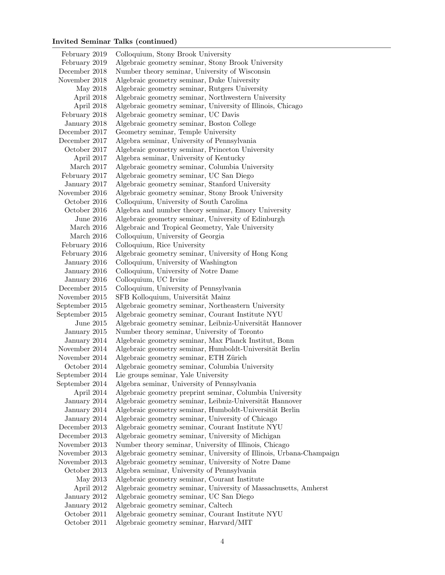# Invited Seminar Talks (continued)

| February 2019  | Colloquium, Stony Brook University                                   |
|----------------|----------------------------------------------------------------------|
| February 2019  | Algebraic geometry seminar, Stony Brook University                   |
| December 2018  | Number theory seminar, University of Wisconsin                       |
| November 2018  | Algebraic geometry seminar, Duke University                          |
| May 2018       | Algebraic geometry seminar, Rutgers University                       |
| April 2018     | Algebraic geometry seminar, Northwestern University                  |
| April 2018     | Algebraic geometry seminar, University of Illinois, Chicago          |
|                | Algebraic geometry seminar, UC Davis                                 |
| January 2018   | Algebraic geometry seminar, Boston College                           |
| December 2017  | Geometry seminar, Temple University                                  |
| December 2017  | Algebra seminar, University of Pennsylvania                          |
| October 2017   | Algebraic geometry seminar, Princeton University                     |
| April 2017     | Algebra seminar, University of Kentucky                              |
| March 2017     | Algebraic geometry seminar, Columbia University                      |
| February 2017  | Algebraic geometry seminar, UC San Diego                             |
| January 2017   | Algebraic geometry seminar, Stanford University                      |
| November 2016  | Algebraic geometry seminar, Stony Brook University                   |
| October 2016   | Colloquium, University of South Carolina                             |
| October 2016   | Algebra and number theory seminar, Emory University                  |
| June 2016      | Algebraic geometry seminar, University of Edinburgh                  |
| March 2016     | Algebraic and Tropical Geometry, Yale University                     |
| March 2016     | Colloquium, University of Georgia                                    |
| February 2016  | Colloquium, Rice University                                          |
| February 2016  | Algebraic geometry seminar, University of Hong Kong                  |
| January 2016   | Colloquium, University of Washington                                 |
| January 2016   | Colloquium, University of Notre Dame                                 |
| January 2016   | Colloquium, UC Irvine                                                |
| December 2015  | Colloquium, University of Pennsylvania                               |
| November 2015  | SFB Kolloquium, Universität Mainz                                    |
| September 2015 | Algebraic geometry seminar, Northeastern University                  |
| September 2015 | Algebraic geometry seminar, Courant Institute NYU                    |
| June $2015$    | Algebraic geometry seminar, Leibniz-Universität Hannover             |
| January 2015   | Number theory seminar, University of Toronto                         |
| January 2014   | Algebraic geometry seminar, Max Planck Institut, Bonn                |
| November 2014  | Algebraic geometry seminar, Humboldt-Universität Berlin              |
| November 2014  | Algebraic geometry seminar, ETH Zürich                               |
| October 2014   | Algebraic geometry seminar, Columbia University                      |
| September 2014 | Lie groups seminar, Yale University                                  |
| September 2014 | Algebra seminar, University of Pennsylvania                          |
|                | Algebraic geometry preprint seminar, Columbia University             |
| January 2014   | Algebraic geometry seminar, Leibniz-Universität Hannover             |
| January 2014   | Algebraic geometry seminar, Humboldt-Universität Berlin              |
| January 2014   | Algebraic geometry seminar, University of Chicago                    |
| December 2013  | Algebraic geometry seminar, Courant Institute NYU                    |
| December 2013  | Algebraic geometry seminar, University of Michigan                   |
| November 2013  | Number theory seminar, University of Illinois, Chicago               |
| November 2013  | Algebraic geometry seminar, University of Illinois, Urbana-Champaign |
| November 2013  | Algebraic geometry seminar, University of Notre Dame                 |
| October 2013   | Algebra seminar, University of Pennsylvania                          |
| May 2013       | Algebraic geometry seminar, Courant Institute                        |
| April 2012     | Algebraic geometry seminar, University of Massachusetts, Amherst     |
| January 2012   | Algebraic geometry seminar, UC San Diego                             |
| January 2012   | Algebraic geometry seminar, Caltech                                  |
| October 2011   | Algebraic geometry seminar, Courant Institute NYU                    |
| October 2011   | Algebraic geometry seminar, Harvard/MIT                              |
|                | February 2018<br>April $2014\,$                                      |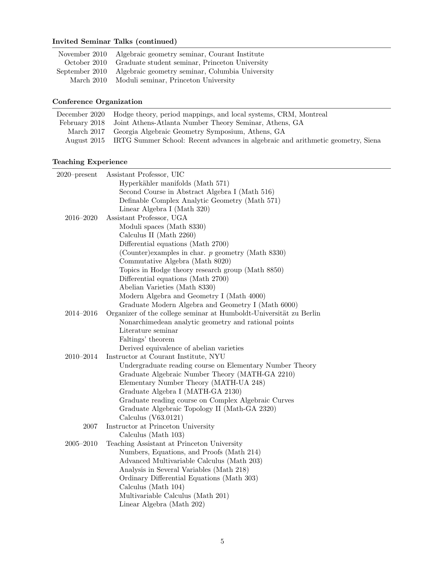# Invited Seminar Talks (continued)

|            | November 2010 Algebraic geometry seminar, Courant Institute    |
|------------|----------------------------------------------------------------|
|            | October 2010 Graduate student seminar, Princeton University    |
|            | September 2010 Algebraic geometry seminar, Columbia University |
| March 2010 | Moduli seminar, Princeton University                           |

# Conference Organization

| December 2020 Hodge theory, period mappings, and local systems, CRM, Montreal               |
|---------------------------------------------------------------------------------------------|
| February 2018 Joint Athens-Atlanta Number Theory Seminar, Athens, GA                        |
| March 2017 Georgia Algebraic Geometry Symposium, Athens, GA                                 |
| August 2015 IRTG Summer School: Recent advances in algebraic and arithmetic geometry, Siena |
|                                                                                             |

# Teaching Experience

| Assistant Professor, UIC                                           |
|--------------------------------------------------------------------|
| Hyperkähler manifolds (Math 571)                                   |
| Second Course in Abstract Algebra I (Math 516)                     |
| Definable Complex Analytic Geometry (Math 571)                     |
| Linear Algebra I (Math 320)                                        |
| Assistant Professor, UGA                                           |
| Moduli spaces (Math 8330)                                          |
| Calculus II (Math 2260)                                            |
| Differential equations (Math 2700)                                 |
| (Counter) examples in char. p geometry (Math 8330)                 |
| Commutative Algebra (Math 8020)                                    |
| Topics in Hodge theory research group (Math 8850)                  |
| Differential equations (Math 2700)                                 |
| Abelian Varieties (Math 8330)                                      |
| Modern Algebra and Geometry I (Math 4000)                          |
| Graduate Modern Algebra and Geometry I (Math 6000)                 |
| Organizer of the college seminar at Humboldt-Universität zu Berlin |
| Nonarchimedean analytic geometry and rational points               |
| Literature seminar                                                 |
| Faltings' theorem                                                  |
| Derived equivalence of abelian varieties                           |
| Instructor at Courant Institute, NYU                               |
| Undergraduate reading course on Elementary Number Theory           |
| Graduate Algebraic Number Theory (MATH-GA 2210)                    |
| Elementary Number Theory (MATH-UA 248)                             |
| Graduate Algebra I (MATH-GA 2130)                                  |
| Graduate reading course on Complex Algebraic Curves                |
| Graduate Algebraic Topology II (Math-GA 2320)                      |
| Calculus $(V63.0121)$                                              |
| Instructor at Princeton University                                 |
| Calculus (Math 103)                                                |
| Teaching Assistant at Princeton University                         |
| Numbers, Equations, and Proofs (Math 214)                          |
| Advanced Multivariable Calculus (Math 203)                         |
| Analysis in Several Variables (Math 218)                           |
| Ordinary Differential Equations (Math 303)                         |
| Calculus (Math 104)                                                |
| Multivariable Calculus (Math 201)                                  |
| Linear Algebra (Math 202)                                          |
|                                                                    |